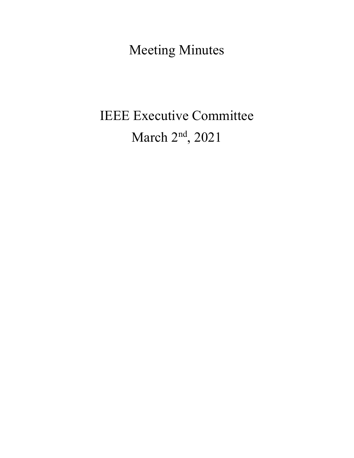Meeting Minutes

# IEEE Executive Committee March 2<sup>nd</sup>, 2021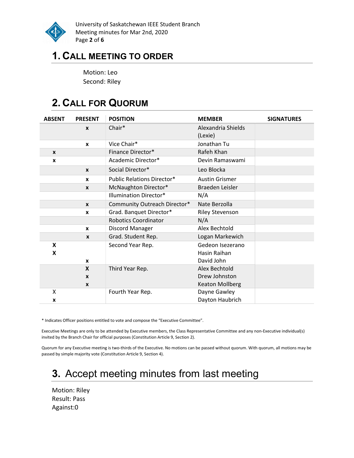

University of Saskatchewan IEEE Student Branch Meeting minutes for Mar 2nd, 2020 Page 2 of 6

### 1. CALL MEETING TO ORDER

Motion: Leo Second: Riley

# 2. CALL FOR QUORUM

| <b>ABSENT</b> | <b>PRESENT</b>                                   | <b>POSITION</b>                   | <b>MEMBER</b>                                            | <b>SIGNATURES</b> |
|---------------|--------------------------------------------------|-----------------------------------|----------------------------------------------------------|-------------------|
|               | $\mathbf{x}$                                     | Chair*                            | Alexandria Shields<br>(Lexie)                            |                   |
|               | X                                                | Vice Chair*                       | Jonathan Tu                                              |                   |
| X             |                                                  | Finance Director*                 | Rafeh Khan                                               |                   |
| X             |                                                  | Academic Director*                | Devin Ramaswami                                          |                   |
|               | $\boldsymbol{x}$                                 | Social Director*                  | Leo Blocka                                               |                   |
|               | $\mathbf{x}$                                     | <b>Public Relations Director*</b> | <b>Austin Grismer</b>                                    |                   |
|               | $\mathbf{x}$                                     | McNaughton Director*              | Braeden Leisler                                          |                   |
|               |                                                  | <b>Illumination Director*</b>     | N/A                                                      |                   |
|               | $\boldsymbol{x}$                                 | Community Outreach Director*      | Nate Berzolla                                            |                   |
|               | X                                                | Grad. Banquet Director*           | <b>Riley Stevenson</b>                                   |                   |
|               |                                                  | <b>Robotics Coordinator</b>       | N/A                                                      |                   |
|               | $\mathbf{x}$                                     | Discord Manager                   | Alex Bechtold                                            |                   |
|               | $\mathbf{x}$                                     | Grad. Student Rep.                | Logan Markewich                                          |                   |
| X<br>X        | $\mathbf{x}$                                     | Second Year Rep.                  | Gedeon Isezerano<br>Hasin Raihan<br>David John           |                   |
|               | $\mathbf{x}$<br>$\mathbf{x}$<br>$\boldsymbol{x}$ | Third Year Rep.                   | Alex Bechtold<br>Drew Johnston<br><b>Keaton Mollberg</b> |                   |
| X<br>x        |                                                  | Fourth Year Rep.                  | Dayne Gawley<br>Dayton Haubrich                          |                   |

\* Indicates Officer positions entitled to vote and compose the "Executive Committee".

Executive Meetings are only to be attended by Executive members, the Class Representative Committee and any non-Executive individual(s) invited by the Branch Chair for official purposes (Constitution Article 9, Section 2).

Quorum for any Executive meeting is two-thirds of the Executive. No motions can be passed without quorum. With quorum, all motions may be passed by simple majority vote (Constitution Article 9, Section 4).

# 3. Accept meeting minutes from last meeting

Motion: Riley Result: Pass Against:0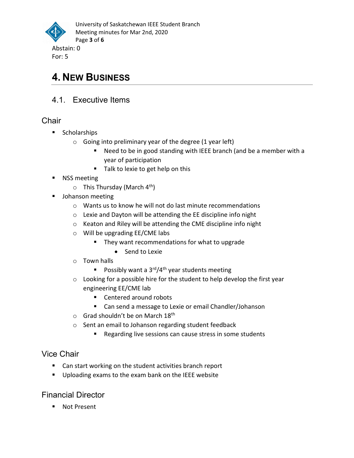

# 4. NEW BUSINESS

4.1. Executive Items

#### **Chair**

- **Scholarships** 
	- $\circ$  Going into preliminary year of the degree (1 year left)
		- Need to be in good standing with IEEE branch (and be a member with a year of participation
		- Talk to lexie to get help on this
- NSS meeting
	- $\circ$  This Thursday (March 4<sup>th</sup>)
- **Johanson meeting** 
	- o Wants us to know he will not do last minute recommendations
	- o Lexie and Dayton will be attending the EE discipline info night
	- o Keaton and Riley will be attending the CME discipline info night
	- o Will be upgrading EE/CME labs
		- They want recommendations for what to upgrade
			- Send to Lexie
	- o Town halls
		- Possibly want a  $3<sup>rd</sup>/4<sup>th</sup>$  year students meeting
	- o Looking for a possible hire for the student to help develop the first year engineering EE/CME lab
		- Centered around robots
		- Can send a message to Lexie or email Chandler/Johanson
	- o Grad shouldn't be on March 18<sup>th</sup>
	- o Sent an email to Johanson regarding student feedback
		- Regarding live sessions can cause stress in some students

#### Vice Chair

- Can start working on the student activities branch report
- **Uploading exams to the exam bank on the IEEE website**

#### Financial Director

**Not Present**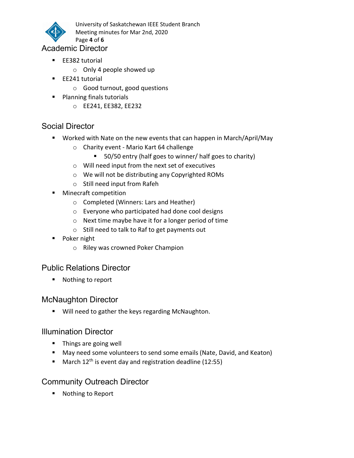

University of Saskatchewan IEEE Student Branch Meeting minutes for Mar 2nd, 2020

Page 4 of 6

#### Academic Director

- EE382 tutorial
	- o Only 4 people showed up
- **EE241** tutorial
	- o Good turnout, good questions
- **Planning finals tutorials** 
	- o EE241, EE382, EE232

#### Social Director

- Worked with Nate on the new events that can happen in March/April/May
	- o Charity event Mario Kart 64 challenge
		- 50/50 entry (half goes to winner/ half goes to charity)
	- o Will need input from the next set of executives
	- o We will not be distributing any Copyrighted ROMs
	- o Still need input from Rafeh
- **Minecraft competition** 
	- o Completed (Winners: Lars and Heather)
	- o Everyone who participated had done cool designs
	- o Next time maybe have it for a longer period of time
	- o Still need to talk to Raf to get payments out
- **Poker night** 
	- o Riley was crowned Poker Champion

#### Public Relations Director

■ Nothing to report

#### McNaughton Director

**Will need to gather the keys regarding McNaughton.** 

#### Illumination Director

- **Things are going well**
- May need some volunteers to send some emails (Nate, David, and Keaton)
- **March 12<sup>th</sup>** is event day and registration deadline (12:55)

#### Community Outreach Director

■ Nothing to Report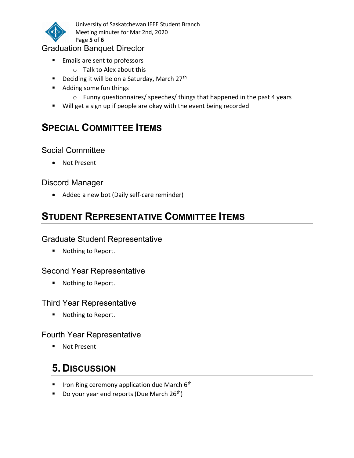

University of Saskatchewan IEEE Student Branch Meeting minutes for Mar 2nd, 2020 Page 5 of 6

#### Graduation Banquet Director

- **Emails are sent to professors** 
	- o Talk to Alex about this
- **Deciding it will be on a Saturday, March 27th**
- Adding some fun things
	- o Funny questionnaires/ speeches/ things that happened in the past 4 years
- Will get a sign up if people are okay with the event being recorded

# **SPECIAL COMMITTEE ITEMS**

#### Social Committee

Not Present

#### Discord Manager

• Added a new bot (Daily self-care reminder)

# STUDENT REPRESENTATIVE COMMITTEE ITEMS

#### Graduate Student Representative

■ Nothing to Report.

#### Second Year Representative

■ Nothing to Report.

#### Third Year Representative

■ Nothing to Report.

#### Fourth Year Representative

■ Not Present

# 5. DISCUSSION

- **If Iron Ring ceremony application due March 6th**
- Do your year end reports (Due March  $26^{th}$ )